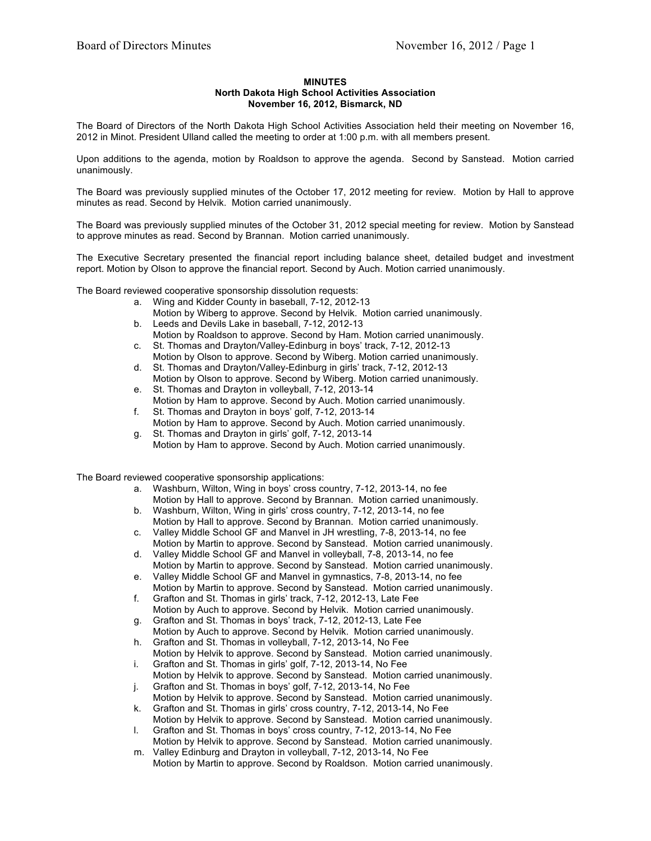## **MINUTES**

## **North Dakota High School Activities Association**

## **November 16, 2012, Bismarck, ND**

The Board of Directors of the North Dakota High School Activities Association held their meeting on November 16, 2012 in Minot. President Ulland called the meeting to order at 1:00 p.m. with all members present.

Upon additions to the agenda, motion by Roaldson to approve the agenda. Second by Sanstead. Motion carried unanimously.

The Board was previously supplied minutes of the October 17, 2012 meeting for review. Motion by Hall to approve minutes as read. Second by Helvik. Motion carried unanimously.

The Board was previously supplied minutes of the October 31, 2012 special meeting for review. Motion by Sanstead to approve minutes as read. Second by Brannan. Motion carried unanimously.

The Executive Secretary presented the financial report including balance sheet, detailed budget and investment report. Motion by Olson to approve the financial report. Second by Auch. Motion carried unanimously.

The Board reviewed cooperative sponsorship dissolution requests:

- a. Wing and Kidder County in baseball, 7-12, 2012-13
- Motion by Wiberg to approve. Second by Helvik. Motion carried unanimously.
- b. Leeds and Devils Lake in baseball, 7-12, 2012-13
- Motion by Roaldson to approve. Second by Ham. Motion carried unanimously. c. St. Thomas and Drayton/Valley-Edinburg in boys' track, 7-12, 2012-13
- Motion by Olson to approve. Second by Wiberg. Motion carried unanimously. d. St. Thomas and Drayton/Valley-Edinburg in girls' track, 7-12, 2012-13
- Motion by Olson to approve. Second by Wiberg. Motion carried unanimously. e. St. Thomas and Drayton in volleyball, 7-12, 2013-14
- Motion by Ham to approve. Second by Auch. Motion carried unanimously.
- f. St. Thomas and Drayton in boys' golf, 7-12, 2013-14 Motion by Ham to approve. Second by Auch. Motion carried unanimously.
- g. St. Thomas and Drayton in girls' golf, 7-12, 2013-14 Motion by Ham to approve. Second by Auch. Motion carried unanimously.

The Board reviewed cooperative sponsorship applications:

- a. Washburn, Wilton, Wing in boys' cross country, 7-12, 2013-14, no fee Motion by Hall to approve. Second by Brannan. Motion carried unanimously.
- b. Washburn, Wilton, Wing in girls' cross country, 7-12, 2013-14, no fee Motion by Hall to approve. Second by Brannan. Motion carried unanimously.
- c. Valley Middle School GF and Manvel in JH wrestling, 7-8, 2013-14, no fee Motion by Martin to approve. Second by Sanstead. Motion carried unanimously.
- d. Valley Middle School GF and Manvel in volleyball, 7-8, 2013-14, no fee Motion by Martin to approve. Second by Sanstead. Motion carried unanimously.
- e. Valley Middle School GF and Manvel in gymnastics, 7-8, 2013-14, no fee Motion by Martin to approve. Second by Sanstead. Motion carried unanimously.
- f. Grafton and St. Thomas in girls' track, 7-12, 2012-13, Late Fee Motion by Auch to approve. Second by Helvik. Motion carried unanimously.
- g. Grafton and St. Thomas in boys' track, 7-12, 2012-13, Late Fee Motion by Auch to approve. Second by Helvik. Motion carried unanimously.
- h. Grafton and St. Thomas in volleyball, 7-12, 2013-14, No Fee Motion by Helvik to approve. Second by Sanstead. Motion carried unanimously.
- i. Grafton and St. Thomas in girls' golf, 7-12, 2013-14, No Fee Motion by Helvik to approve. Second by Sanstead. Motion carried unanimously.
- j. Grafton and St. Thomas in boys' golf, 7-12, 2013-14, No Fee
- Motion by Helvik to approve. Second by Sanstead. Motion carried unanimously. k. Grafton and St. Thomas in girls' cross country, 7-12, 2013-14, No Fee
- Motion by Helvik to approve. Second by Sanstead. Motion carried unanimously. l. Grafton and St. Thomas in boys' cross country, 7-12, 2013-14, No Fee
- Motion by Helvik to approve. Second by Sanstead. Motion carried unanimously. m. Valley Edinburg and Drayton in volleyball, 7-12, 2013-14, No Fee
- Motion by Martin to approve. Second by Roaldson. Motion carried unanimously.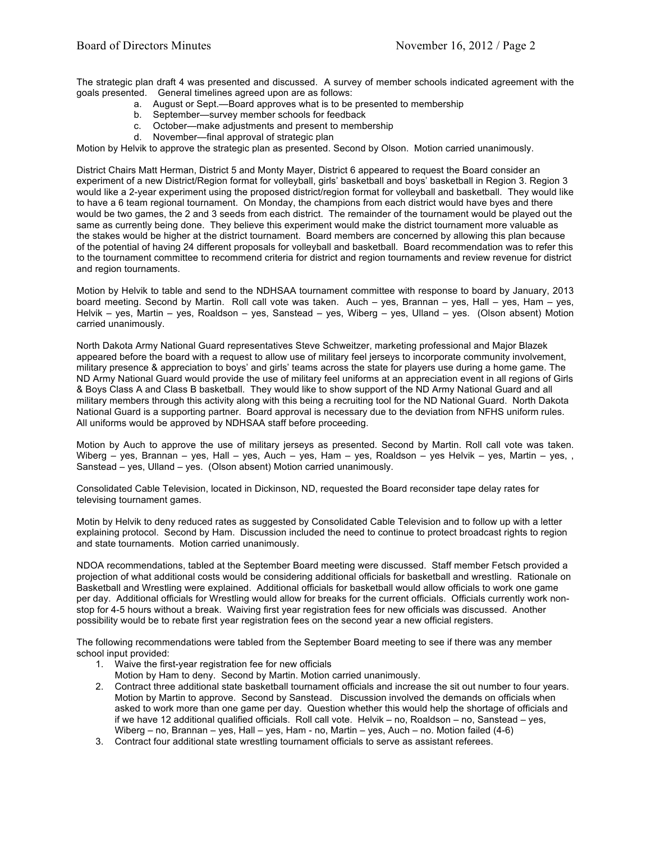The strategic plan draft 4 was presented and discussed. A survey of member schools indicated agreement with the goals presented. General timelines agreed upon are as follows:

- a. August or Sept.—Board approves what is to be presented to membership
- b. September—survey member schools for feedback
- c. October—make adjustments and present to membership
- d. November—final approval of strategic plan

Motion by Helvik to approve the strategic plan as presented. Second by Olson. Motion carried unanimously.

District Chairs Matt Herman, District 5 and Monty Mayer, District 6 appeared to request the Board consider an experiment of a new District/Region format for volleyball, girls' basketball and boys' basketball in Region 3. Region 3 would like a 2-year experiment using the proposed district/region format for volleyball and basketball. They would like to have a 6 team regional tournament. On Monday, the champions from each district would have byes and there would be two games, the 2 and 3 seeds from each district. The remainder of the tournament would be played out the same as currently being done. They believe this experiment would make the district tournament more valuable as the stakes would be higher at the district tournament. Board members are concerned by allowing this plan because of the potential of having 24 different proposals for volleyball and basketball. Board recommendation was to refer this to the tournament committee to recommend criteria for district and region tournaments and review revenue for district and region tournaments.

Motion by Helvik to table and send to the NDHSAA tournament committee with response to board by January, 2013 board meeting. Second by Martin. Roll call vote was taken. Auch – yes, Brannan – yes, Hall – yes, Ham – yes, Helvik – yes, Martin – yes, Roaldson – yes, Sanstead – yes, Wiberg – yes, Ulland – yes. (Olson absent) Motion carried unanimously.

North Dakota Army National Guard representatives Steve Schweitzer, marketing professional and Major Blazek appeared before the board with a request to allow use of military feel jerseys to incorporate community involvement, military presence & appreciation to boys' and girls' teams across the state for players use during a home game. The ND Army National Guard would provide the use of military feel uniforms at an appreciation event in all regions of Girls & Boys Class A and Class B basketball. They would like to show support of the ND Army National Guard and all military members through this activity along with this being a recruiting tool for the ND National Guard. North Dakota National Guard is a supporting partner. Board approval is necessary due to the deviation from NFHS uniform rules. All uniforms would be approved by NDHSAA staff before proceeding.

Motion by Auch to approve the use of military jerseys as presented. Second by Martin. Roll call vote was taken. Wiberg – yes, Brannan – yes, Hall – yes, Auch – yes, Ham – yes, Roaldson – yes Helvik – yes, Martin – yes, , Sanstead – yes, Ulland – yes. (Olson absent) Motion carried unanimously.

Consolidated Cable Television, located in Dickinson, ND, requested the Board reconsider tape delay rates for televising tournament games.

Motin by Helvik to deny reduced rates as suggested by Consolidated Cable Television and to follow up with a letter explaining protocol. Second by Ham. Discussion included the need to continue to protect broadcast rights to region and state tournaments. Motion carried unanimously.

NDOA recommendations, tabled at the September Board meeting were discussed. Staff member Fetsch provided a projection of what additional costs would be considering additional officials for basketball and wrestling. Rationale on Basketball and Wrestling were explained. Additional officials for basketball would allow officials to work one game per day. Additional officials for Wrestling would allow for breaks for the current officials. Officials currently work nonstop for 4-5 hours without a break. Waiving first year registration fees for new officials was discussed. Another possibility would be to rebate first year registration fees on the second year a new official registers.

The following recommendations were tabled from the September Board meeting to see if there was any member school input provided:

- 1. Waive the first-year registration fee for new officials
- Motion by Ham to deny. Second by Martin. Motion carried unanimously.
- 2. Contract three additional state basketball tournament officials and increase the sit out number to four years. Motion by Martin to approve. Second by Sanstead. Discussion involved the demands on officials when asked to work more than one game per day. Question whether this would help the shortage of officials and if we have 12 additional qualified officials. Roll call vote. Helvik – no, Roaldson – no, Sanstead – yes, Wiberg – no, Brannan – yes, Hall – yes, Ham - no, Martin – yes, Auch – no. Motion failed (4-6)
- 3. Contract four additional state wrestling tournament officials to serve as assistant referees.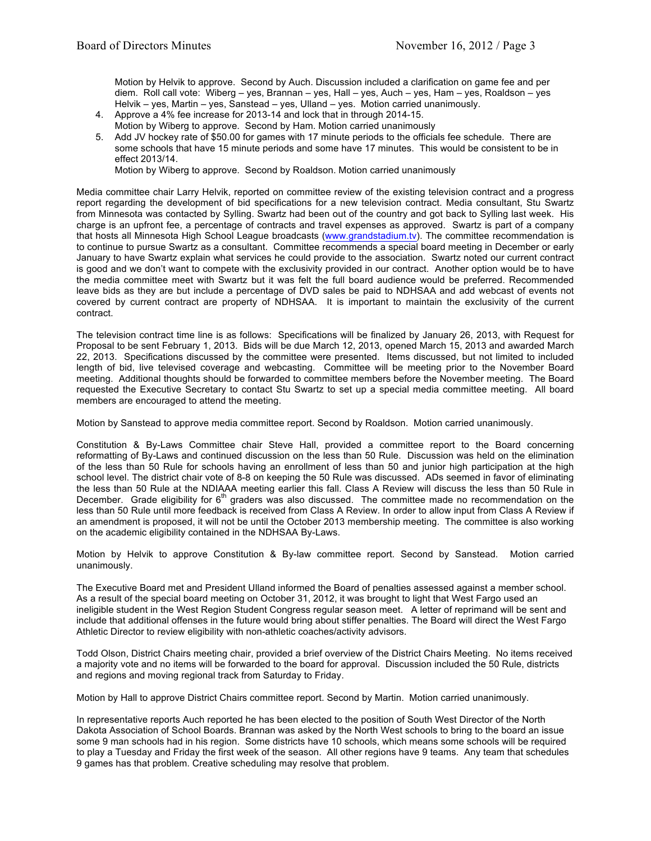Motion by Helvik to approve. Second by Auch. Discussion included a clarification on game fee and per diem. Roll call vote: Wiberg – yes, Brannan – yes, Hall – yes, Auch – yes, Ham – yes, Roaldson – yes Helvik – yes, Martin – yes, Sanstead – yes, Ulland – yes. Motion carried unanimously.

- 4. Approve a 4% fee increase for 2013-14 and lock that in through 2014-15. Motion by Wiberg to approve. Second by Ham. Motion carried unanimously
- 5. Add JV hockey rate of \$50.00 for games with 17 minute periods to the officials fee schedule. There are some schools that have 15 minute periods and some have 17 minutes. This would be consistent to be in effect 2013/14.

Motion by Wiberg to approve. Second by Roaldson. Motion carried unanimously

Media committee chair Larry Helvik, reported on committee review of the existing television contract and a progress report regarding the development of bid specifications for a new television contract. Media consultant, Stu Swartz from Minnesota was contacted by Sylling. Swartz had been out of the country and got back to Sylling last week. His charge is an upfront fee, a percentage of contracts and travel expenses as approved. Swartz is part of a company that hosts all Minnesota High School League broadcasts (www.grandstadium.tv). The committee recommendation is to continue to pursue Swartz as a consultant. Committee recommends a special board meeting in December or early January to have Swartz explain what services he could provide to the association. Swartz noted our current contract is good and we don't want to compete with the exclusivity provided in our contract. Another option would be to have the media committee meet with Swartz but it was felt the full board audience would be preferred. Recommended leave bids as they are but include a percentage of DVD sales be paid to NDHSAA and add webcast of events not covered by current contract are property of NDHSAA. It is important to maintain the exclusivity of the current contract.

The television contract time line is as follows: Specifications will be finalized by January 26, 2013, with Request for Proposal to be sent February 1, 2013. Bids will be due March 12, 2013, opened March 15, 2013 and awarded March 22, 2013. Specifications discussed by the committee were presented. Items discussed, but not limited to included length of bid, live televised coverage and webcasting. Committee will be meeting prior to the November Board meeting. Additional thoughts should be forwarded to committee members before the November meeting. The Board requested the Executive Secretary to contact Stu Swartz to set up a special media committee meeting. All board members are encouraged to attend the meeting.

Motion by Sanstead to approve media committee report. Second by Roaldson. Motion carried unanimously.

Constitution & By-Laws Committee chair Steve Hall, provided a committee report to the Board concerning reformatting of By-Laws and continued discussion on the less than 50 Rule. Discussion was held on the elimination of the less than 50 Rule for schools having an enrollment of less than 50 and junior high participation at the high school level. The district chair vote of 8-8 on keeping the 50 Rule was discussed. ADs seemed in favor of eliminating the less than 50 Rule at the NDIAAA meeting earlier this fall. Class A Review will discuss the less than 50 Rule in December. Grade eligibility for  $6<sup>th</sup>$  graders was also discussed. The committee made no recommendation on the less than 50 Rule until more feedback is received from Class A Review. In order to allow input from Class A Review if an amendment is proposed, it will not be until the October 2013 membership meeting. The committee is also working on the academic eligibility contained in the NDHSAA By-Laws.

Motion by Helvik to approve Constitution & By-law committee report. Second by Sanstead. Motion carried unanimously.

The Executive Board met and President Ulland informed the Board of penalties assessed against a member school. As a result of the special board meeting on October 31, 2012, it was brought to light that West Fargo used an ineligible student in the West Region Student Congress regular season meet. A letter of reprimand will be sent and include that additional offenses in the future would bring about stiffer penalties. The Board will direct the West Fargo Athletic Director to review eligibility with non-athletic coaches/activity advisors.

Todd Olson, District Chairs meeting chair, provided a brief overview of the District Chairs Meeting. No items received a majority vote and no items will be forwarded to the board for approval. Discussion included the 50 Rule, districts and regions and moving regional track from Saturday to Friday.

Motion by Hall to approve District Chairs committee report. Second by Martin. Motion carried unanimously.

In representative reports Auch reported he has been elected to the position of South West Director of the North Dakota Association of School Boards. Brannan was asked by the North West schools to bring to the board an issue some 9 man schools had in his region. Some districts have 10 schools, which means some schools will be required to play a Tuesday and Friday the first week of the season. All other regions have 9 teams. Any team that schedules 9 games has that problem. Creative scheduling may resolve that problem.